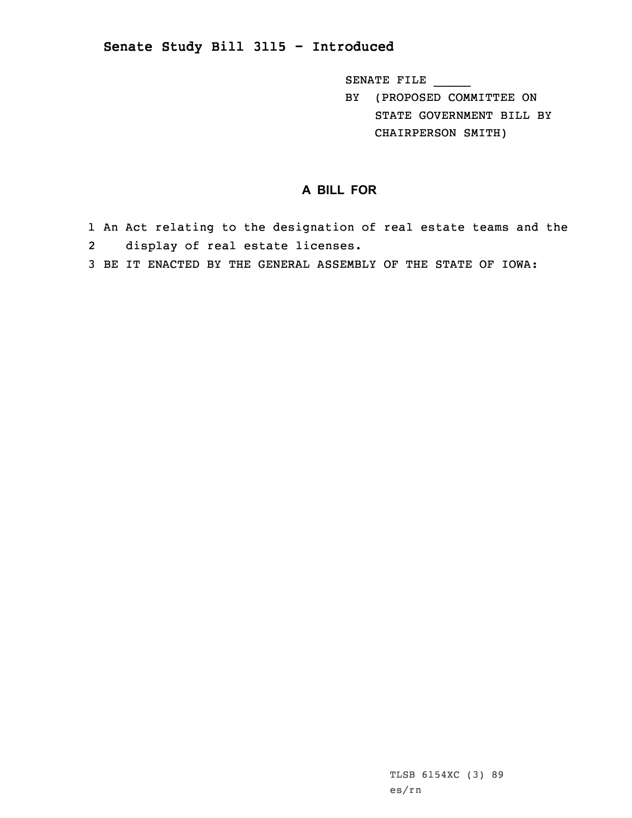## **Senate Study Bill 3115 - Introduced**

SENATE FILE \_\_\_\_\_

BY (PROPOSED COMMITTEE ON STATE GOVERNMENT BILL BY CHAIRPERSON SMITH)

## **A BILL FOR**

- 1 An Act relating to the designation of real estate teams and the 2display of real estate licenses.
- 3 BE IT ENACTED BY THE GENERAL ASSEMBLY OF THE STATE OF IOWA: